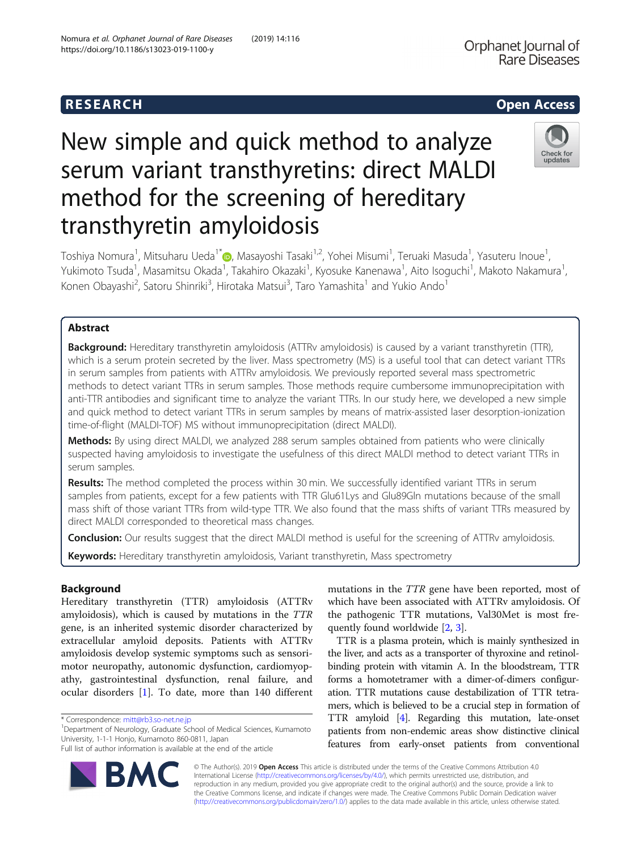# New simple and quick method to analyze serum variant transthyretins: direct MALDI method for the screening of hereditary transthyretin amyloidosis

Toshiya Nomura<sup>1</sup>, Mitsuharu Ueda<sup>1\*</sup>�, Masayoshi Tasaki<sup>1,2</sup>, Yohei Misumi<sup>1</sup>, Teruaki Masuda<sup>1</sup>, Yasuteru Inoue<sup>1</sup> , Yukimoto Tsuda<sup>1</sup>, Masamitsu Okada<sup>1</sup>, Takahiro Okazaki<sup>1</sup>, Kyosuke Kanenawa<sup>1</sup>, Aito Isoguchi<sup>1</sup>, Makoto Nakamura<sup>1</sup> , Konen Obayashi<sup>2</sup>, Satoru Shinriki<sup>3</sup>, Hirotaka Matsui<sup>3</sup>, Taro Yamashita<sup>1</sup> and Yukio Ando<sup>1</sup>

## Abstract

**Background:** Hereditary transthyretin amyloidosis (ATTRv amyloidosis) is caused by a variant transthyretin (TTR), which is a serum protein secreted by the liver. Mass spectrometry (MS) is a useful tool that can detect variant TTRs in serum samples from patients with ATTRv amyloidosis. We previously reported several mass spectrometric methods to detect variant TTRs in serum samples. Those methods require cumbersome immunoprecipitation with anti-TTR antibodies and significant time to analyze the variant TTRs. In our study here, we developed a new simple and quick method to detect variant TTRs in serum samples by means of matrix-assisted laser desorption-ionization time-of-flight (MALDI-TOF) MS without immunoprecipitation (direct MALDI).

Methods: By using direct MALDI, we analyzed 288 serum samples obtained from patients who were clinically suspected having amyloidosis to investigate the usefulness of this direct MALDI method to detect variant TTRs in serum samples.

Results: The method completed the process within 30 min. We successfully identified variant TTRs in serum samples from patients, except for a few patients with TTR Glu61Lys and Glu89Gln mutations because of the small mass shift of those variant TTRs from wild-type TTR. We also found that the mass shifts of variant TTRs measured by direct MALDI corresponded to theoretical mass changes.

Conclusion: Our results suggest that the direct MALDI method is useful for the screening of ATTRv amyloidosis.

Keywords: Hereditary transthyretin amyloidosis, Variant transthyretin, Mass spectrometry

## Background

Hereditary transthyretin (TTR) amyloidosis (ATTRv amyloidosis), which is caused by mutations in the TTR gene, is an inherited systemic disorder characterized by extracellular amyloid deposits. Patients with ATTRv amyloidosis develop systemic symptoms such as sensorimotor neuropathy, autonomic dysfunction, cardiomyopathy, gastrointestinal dysfunction, renal failure, and ocular disorders [\[1](#page-4-0)]. To date, more than 140 different

\* Correspondence: [mitt@rb3.so-net.ne.jp](mailto:mitt@rb3.so-net.ne.jp) <sup>1</sup>

Department of Neurology, Graduate School of Medical Sciences, Kumamoto University, 1-1-1 Honjo, Kumamoto 860-0811, Japan

Full list of author information is available at the end of the article

RA

mutations in the TTR gene have been reported, most of which have been associated with ATTRv amyloidosis. Of the pathogenic TTR mutations, Val30Met is most frequently found worldwide [[2](#page-4-0), [3](#page-4-0)].

TTR is a plasma protein, which is mainly synthesized in the liver, and acts as a transporter of thyroxine and retinolbinding protein with vitamin A. In the bloodstream, TTR forms a homotetramer with a dimer-of-dimers configuration. TTR mutations cause destabilization of TTR tetramers, which is believed to be a crucial step in formation of TTR amyloid [[4](#page-4-0)]. Regarding this mutation, late-onset patients from non-endemic areas show distinctive clinical features from early-onset patients from conventional

© The Author(s). 2019 Open Access This article is distributed under the terms of the Creative Commons Attribution 4.0 International License [\(http://creativecommons.org/licenses/by/4.0/](http://creativecommons.org/licenses/by/4.0/)), which permits unrestricted use, distribution, and reproduction in any medium, provided you give appropriate credit to the original author(s) and the source, provide a link to the Creative Commons license, and indicate if changes were made. The Creative Commons Public Domain Dedication waiver [\(http://creativecommons.org/publicdomain/zero/1.0/](http://creativecommons.org/publicdomain/zero/1.0/)) applies to the data made available in this article, unless otherwise stated.



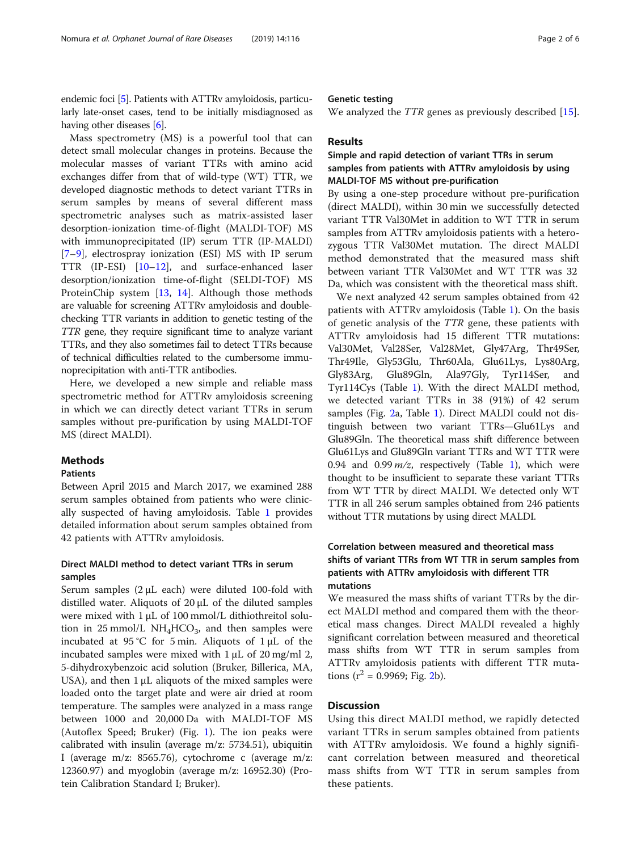endemic foci [\[5\]](#page-4-0). Patients with ATTRv amyloidosis, particularly late-onset cases, tend to be initially misdiagnosed as having other diseases [\[6\]](#page-4-0).

Mass spectrometry (MS) is a powerful tool that can detect small molecular changes in proteins. Because the molecular masses of variant TTRs with amino acid exchanges differ from that of wild-type (WT) TTR, we developed diagnostic methods to detect variant TTRs in serum samples by means of several different mass spectrometric analyses such as matrix-assisted laser desorption-ionization time-of-flight (MALDI-TOF) MS with immunoprecipitated (IP) serum TTR (IP-MALDI) [[7](#page-4-0)–[9\]](#page-5-0), electrospray ionization (ESI) MS with IP serum TTR (IP-ESI) [[10](#page-5-0)–[12](#page-5-0)], and surface-enhanced laser desorption/ionization time-of-flight (SELDI-TOF) MS ProteinChip system [\[13](#page-5-0), [14](#page-5-0)]. Although those methods are valuable for screening ATTRv amyloidosis and doublechecking TTR variants in addition to genetic testing of the TTR gene, they require significant time to analyze variant TTRs, and they also sometimes fail to detect TTRs because of technical difficulties related to the cumbersome immunoprecipitation with anti-TTR antibodies.

Here, we developed a new simple and reliable mass spectrometric method for ATTRv amyloidosis screening in which we can directly detect variant TTRs in serum samples without pre-purification by using MALDI-TOF MS (direct MALDI).

## **Methods**

## Patients

Between April 2015 and March 2017, we examined 288 serum samples obtained from patients who were clinically suspected of having amyloidosis. Table [1](#page-2-0) provides detailed information about serum samples obtained from 42 patients with ATTRv amyloidosis.

## Direct MALDI method to detect variant TTRs in serum samples

Serum samples (2 μL each) were diluted 100-fold with distilled water. Aliquots of 20 μL of the diluted samples were mixed with 1 μL of 100 mmol/L dithiothreitol solution in 25 mmol/L  $NH<sub>4</sub>HCO<sub>3</sub>$ , and then samples were incubated at 95 °C for 5 min. Aliquots of  $1 \mu$ L of the incubated samples were mixed with  $1 \mu L$  of  $20 \text{ mg/ml } 2$ , 5-dihydroxybenzoic acid solution (Bruker, Billerica, MA, USA), and then  $1 \mu$ L aliquots of the mixed samples were loaded onto the target plate and were air dried at room temperature. The samples were analyzed in a mass range between 1000 and 20,000 Da with MALDI-TOF MS (Autoflex Speed; Bruker) (Fig. [1](#page-3-0)). The ion peaks were calibrated with insulin (average m/z: 5734.51), ubiquitin I (average m/z: 8565.76), cytochrome c (average m/z: 12360.97) and myoglobin (average m/z: 16952.30) (Protein Calibration Standard I; Bruker).

## Genetic testing

We analyzed the *TTR* genes as previously described [\[15](#page-5-0)].

## Results

## Simple and rapid detection of variant TTRs in serum samples from patients with ATTRv amyloidosis by using MALDI-TOF MS without pre-purification

By using a one-step procedure without pre-purification (direct MALDI), within 30 min we successfully detected variant TTR Val30Met in addition to WT TTR in serum samples from ATTRv amyloidosis patients with a heterozygous TTR Val30Met mutation. The direct MALDI method demonstrated that the measured mass shift between variant TTR Val30Met and WT TTR was 32 Da, which was consistent with the theoretical mass shift.

We next analyzed 42 serum samples obtained from 42 patients with ATTRv amyloidosis (Table [1](#page-2-0)). On the basis of genetic analysis of the TTR gene, these patients with ATTRv amyloidosis had 15 different TTR mutations: Val30Met, Val28Ser, Val28Met, Gly47Arg, Thr49Ser, Thr49Ile, Gly53Glu, Thr60Ala, Glu61Lys, Lys80Arg, Gly83Arg, Glu89Gln, Ala97Gly, Tyr114Ser, and Tyr114Cys (Table [1](#page-2-0)). With the direct MALDI method, we detected variant TTRs in 38 (91%) of 42 serum samples (Fig. [2](#page-3-0)a, Table [1](#page-2-0)). Direct MALDI could not distinguish between two variant TTRs—Glu61Lys and Glu89Gln. The theoretical mass shift difference between Glu61Lys and Glu89Gln variant TTRs and WT TTR were 0.94 and 0.99  $m/z$ , respectively (Table [1](#page-2-0)), which were thought to be insufficient to separate these variant TTRs from WT TTR by direct MALDI. We detected only WT TTR in all 246 serum samples obtained from 246 patients without TTR mutations by using direct MALDI.

## Correlation between measured and theoretical mass shifts of variant TTRs from WT TTR in serum samples from patients with ATTRv amyloidosis with different TTR mutations

We measured the mass shifts of variant TTRs by the direct MALDI method and compared them with the theoretical mass changes. Direct MALDI revealed a highly significant correlation between measured and theoretical mass shifts from WT TTR in serum samples from ATTRv amyloidosis patients with different TTR mutations  $(r^2 = 0.9969; Fig. 2b)$  $(r^2 = 0.9969; Fig. 2b)$  $(r^2 = 0.9969; Fig. 2b)$ .

## **Discussion**

Using this direct MALDI method, we rapidly detected variant TTRs in serum samples obtained from patients with ATTRv amyloidosis. We found a highly significant correlation between measured and theoretical mass shifts from WT TTR in serum samples from these patients.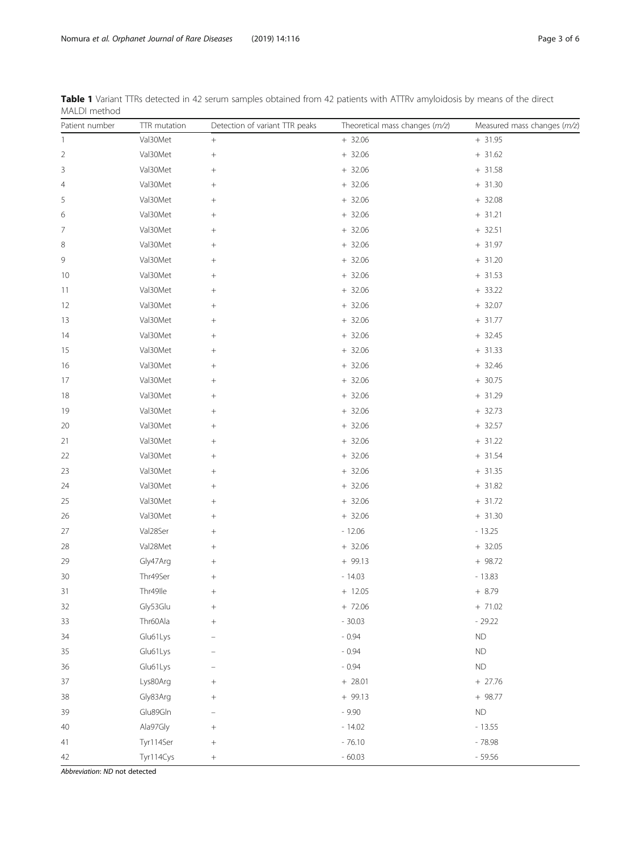| Patient number | TTR mutation | Detection of variant TTR peaks | Theoretical mass changes (m/z) | Measured mass changes (m/z) |
|----------------|--------------|--------------------------------|--------------------------------|-----------------------------|
| $\mathbf{1}$   | Val30Met     | $\! + \!\!\!\!$                | $+ 32.06$                      | $+31.95$                    |
| $\overline{c}$ | Val30Met     |                                | $+32.06$                       | $+31.62$                    |
| 3              | Val30Met     |                                | $+32.06$                       | $+ 31.58$                   |
| 4              | Val30Met     |                                | $+32.06$                       | $+31.30$                    |
| 5              | Val30Met     |                                | $+32.06$                       | $+32.08$                    |
| 6              | Val30Met     | $^{+}$                         | $+ 32.06$                      | $+ 31.21$                   |
| 7              | Val30Met     | $^{+}$                         | $+32.06$                       | $+ 32.51$                   |
| 8              | Val30Met     |                                | $+32.06$                       | $+ 31.97$                   |
| 9              | Val30Met     | $^{+}$                         | $+ 32.06$                      | $+ 31.20$                   |
| 10             | Val30Met     | $^{+}$                         | $+32.06$                       | $+ 31.53$                   |
| 11             | Val30Met     |                                | $+32.06$                       | $+ 33.22$                   |
| 12             | Val30Met     | $^{+}$                         | $+ 32.06$                      | $+ 32.07$                   |
| 13             | Val30Met     | $^{+}$                         | $+ 32.06$                      | $+ 31.77$                   |
| 14             | Val30Met     | $^{+}$                         | $+32.06$                       | $+ 32.45$                   |
| 15             | Val30Met     | $^{+}$                         | $+32.06$                       | $+ 31.33$                   |
| 16             | Val30Met     | $^{+}$                         | $+32.06$                       | $+32.46$                    |
| 17             | Val30Met     |                                | $+32.06$                       | $+30.75$                    |
| 18             | Val30Met     | $^{+}$                         | $+ 32.06$                      | $+ 31.29$                   |
| 19             | Val30Met     | $^{+}$                         | $+32.06$                       | $+ 32.73$                   |
| 20             | Val30Met     | $^{+}$                         | $+ 32.06$                      | $+ 32.57$                   |
| 21             | Val30Met     |                                | $+ 32.06$                      | $+ 31.22$                   |
| 22             | Val30Met     |                                | $+32.06$                       | $+31.54$                    |
| 23             | Val30Met     |                                | $+32.06$                       | $+31.35$                    |
| 24             | Val30Met     | $^{+}$                         | $+ 32.06$                      | $+ 31.82$                   |
| 25             | Val30Met     | $^{+}$                         | $+32.06$                       | $+ 31.72$                   |
| 26             | Val30Met     | $^{+}$                         | $+32.06$                       | $+31.30$                    |
| 27             | Val28Ser     |                                | $-12.06$                       | $-13.25$                    |
| 28             | Val28Met     | $\! + \!\!\!\!$                | $+32.06$                       | $+32.05$                    |
| 29             | Gly47Arg     | $^{+}$                         | $+99.13$                       | $+98.72$                    |
| 30             | Thr49Ser     |                                | $-14.03$                       | $-13.83$                    |
| 31             | Thr49lle     | $\! + \!\!\!\!$                | $+ 12.05$                      | $+ 8.79$                    |
| 32             | Gly53Glu     |                                | $+ 72.06$                      | $+ 71.02$                   |
| 33             | Thr60Ala     | $^{+}$                         | $-30.03$                       | $-29.22$                    |
| 34             | Glu61Lys     |                                | $-0.94$                        | ND                          |
| 35             | Glu61Lys     |                                | $-0.94$                        | ${\sf ND}$                  |
| 36             | Glu61Lys     |                                | $-0.94$                        | ND                          |
| 37             | Lys80Arg     | $^{+}$                         | $+ 28.01$                      | $+27.76$                    |
| 38             | Gly83Arg     | $^{+}$                         | $+99.13$                       | $+ 98.77$                   |
| 39             | Glu89Gln     |                                | $-9.90$                        | ND                          |
| 40             | Ala97Gly     | $^{+}$                         | $-14.02$                       | $-13.55$                    |
| 41             | Tyr114Ser    | $^{+}$                         | $-76.10$                       | $-78.98$                    |
| 42             | Tyr114Cys    |                                | $-60.03$                       | $-59.56$                    |

<span id="page-2-0"></span>Table 1 Variant TTRs detected in 42 serum samples obtained from 42 patients with ATTRv amyloidosis by means of the direct MALDI method

Abbreviation: ND not detected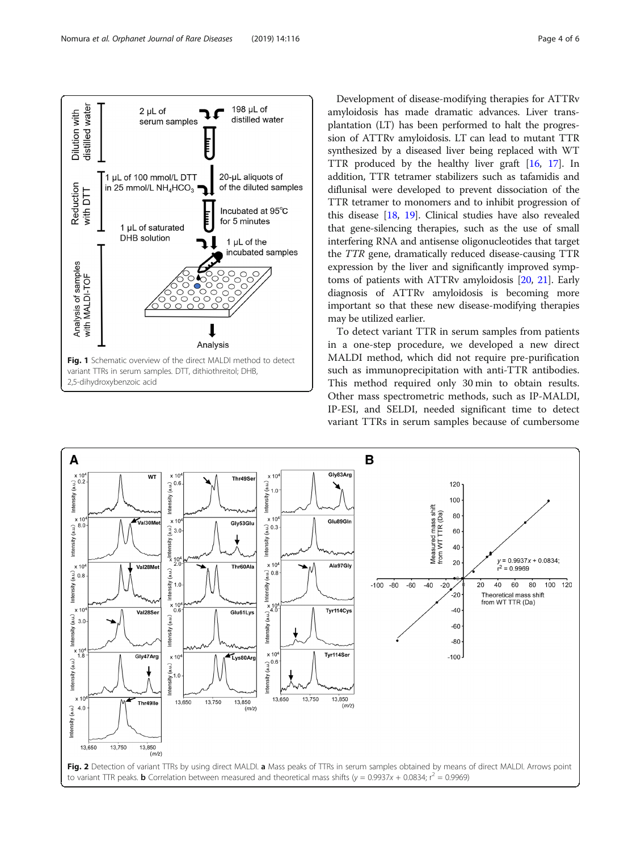<span id="page-3-0"></span>

Development of disease-modifying therapies for ATTRv amyloidosis has made dramatic advances. Liver transplantation (LT) has been performed to halt the progression of ATTRv amyloidosis. LT can lead to mutant TTR synthesized by a diseased liver being replaced with WT TTR produced by the healthy liver graft [[16,](#page-5-0) [17](#page-5-0)]. In addition, TTR tetramer stabilizers such as tafamidis and diflunisal were developed to prevent dissociation of the TTR tetramer to monomers and to inhibit progression of this disease [[18](#page-5-0), [19\]](#page-5-0). Clinical studies have also revealed that gene-silencing therapies, such as the use of small interfering RNA and antisense oligonucleotides that target the TTR gene, dramatically reduced disease-causing TTR expression by the liver and significantly improved symptoms of patients with ATTRv amyloidosis [\[20,](#page-5-0) [21](#page-5-0)]. Early diagnosis of ATTRv amyloidosis is becoming more important so that these new disease-modifying therapies may be utilized earlier.

To detect variant TTR in serum samples from patients in a one-step procedure, we developed a new direct MALDI method, which did not require pre-purification such as immunoprecipitation with anti-TTR antibodies. This method required only 30 min to obtain results. Other mass spectrometric methods, such as IP-MALDI, IP-ESI, and SELDI, needed significant time to detect variant TTRs in serum samples because of cumbersome

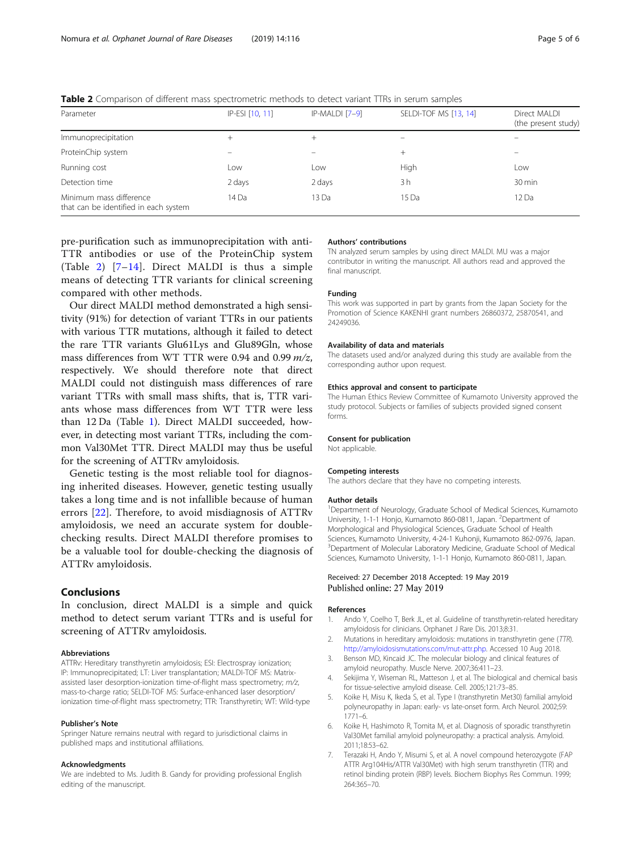| Parameter                                                        | IP-ESI [10, 11] | IP-MALDI [7-9]    | SELDI-TOF MS [13, 14] | Direct MALDI<br>(the present study) |  |  |
|------------------------------------------------------------------|-----------------|-------------------|-----------------------|-------------------------------------|--|--|
| Immunoprecipitation                                              | $^+$            | $^+$              |                       |                                     |  |  |
| ProteinChip system                                               | -               | $\qquad \qquad -$ | $^{+}$                |                                     |  |  |
| Running cost                                                     | Low             | ∟OW               | High                  | Low                                 |  |  |
| Detection time                                                   | 2 days          | 2 days            | 3 h                   | 30 min                              |  |  |
| Minimum mass difference<br>that can be identified in each system | 14 Da           | 13 Da             | 15 Da                 | 12 Da                               |  |  |

<span id="page-4-0"></span>Table 2 Comparison of different mass spectrometric methods to detect variant TTRs in serum samples

pre-purification such as immunoprecipitation with anti-TTR antibodies or use of the ProteinChip system (Table 2) [7–[14](#page-5-0)]. Direct MALDI is thus a simple means of detecting TTR variants for clinical screening compared with other methods.

Our direct MALDI method demonstrated a high sensitivity (91%) for detection of variant TTRs in our patients with various TTR mutations, although it failed to detect the rare TTR variants Glu61Lys and Glu89Gln, whose mass differences from WT TTR were 0.94 and 0.99 m/z, respectively. We should therefore note that direct MALDI could not distinguish mass differences of rare variant TTRs with small mass shifts, that is, TTR variants whose mass differences from WT TTR were less than 12 Da (Table [1](#page-2-0)). Direct MALDI succeeded, however, in detecting most variant TTRs, including the common Val30Met TTR. Direct MALDI may thus be useful for the screening of ATTRv amyloidosis.

Genetic testing is the most reliable tool for diagnosing inherited diseases. However, genetic testing usually takes a long time and is not infallible because of human errors [\[22](#page-5-0)]. Therefore, to avoid misdiagnosis of ATTRv amyloidosis, we need an accurate system for doublechecking results. Direct MALDI therefore promises to be a valuable tool for double-checking the diagnosis of ATTRv amyloidosis.

## Conclusions

In conclusion, direct MALDI is a simple and quick method to detect serum variant TTRs and is useful for screening of ATTRv amyloidosis.

#### Abbreviations

ATTRv: Hereditary transthyretin amyloidosis; ESI: Electrospray ionization; IP: Immunoprecipitated; LT: Liver transplantation; MALDI-TOF MS: Matrixassisted laser desorption-ionization time-of-flight mass spectrometry; m/z, mass-to-charge ratio; SELDI-TOF MS: Surface-enhanced laser desorption/ ionization time-of-flight mass spectrometry; TTR: Transthyretin; WT: Wild-type

#### Publisher's Note

Springer Nature remains neutral with regard to jurisdictional claims in published maps and institutional affiliations.

#### Acknowledgments

We are indebted to Ms. Judith B. Gandy for providing professional English editing of the manuscript.

#### Authors' contributions

TN analyzed serum samples by using direct MALDI. MU was a major contributor in writing the manuscript. All authors read and approved the final manuscript.

#### Funding

This work was supported in part by grants from the Japan Society for the Promotion of Science KAKENHI grant numbers 26860372, 25870541, and 24249036.

#### Availability of data and materials

The datasets used and/or analyzed during this study are available from the corresponding author upon request.

#### Ethics approval and consent to participate

The Human Ethics Review Committee of Kumamoto University approved the study protocol. Subjects or families of subjects provided signed consent forms.

#### Consent for publication

Not applicable.

#### Competing interests

The authors declare that they have no competing interests.

#### Author details

<sup>1</sup>Department of Neurology, Graduate School of Medical Sciences, Kumamoto University, 1-1-1 Honjo, Kumamoto 860-0811, Japan. <sup>2</sup>Department of Morphological and Physiological Sciences, Graduate School of Health Sciences, Kumamoto University, 4-24-1 Kuhonji, Kumamoto 862-0976, Japan. <sup>3</sup>Department of Molecular Laboratory Medicine, Graduate School of Medical Sciences, Kumamoto University, 1-1-1 Honjo, Kumamoto 860-0811, Japan.

### Received: 27 December 2018 Accepted: 19 May 2019 Published online: 27 May 2019

#### References

- 1. Ando Y, Coelho T, Berk JL, et al. Guideline of transthyretin-related hereditary amyloidosis for clinicians. Orphanet J Rare Dis. 2013;8:31.
- 2. Mutations in hereditary amyloidosis: mutations in transthyretin gene (TTR). [http://amyloidosismutations.com/mut-attr.php.](http://amyloidosismutations.com/mut-attr.php) Accessed 10 Aug 2018.
- 3. Benson MD, Kincaid JC. The molecular biology and clinical features of amyloid neuropathy. Muscle Nerve. 2007;36:411–23.
- 4. Sekijima Y, Wiseman RL, Matteson J, et al. The biological and chemical basis for tissue-selective amyloid disease. Cell. 2005;121:73–85.
- Koike H, Misu K, Ikeda S, et al. Type I (transthyretin Met30) familial amyloid polyneuropathy in Japan: early- vs late-onset form. Arch Neurol. 2002;59: 1771–6.
- 6. Koike H, Hashimoto R, Tomita M, et al. Diagnosis of sporadic transthyretin Val30Met familial amyloid polyneuropathy: a practical analysis. Amyloid. 2011;18:53–62.
- 7. Terazaki H, Ando Y, Misumi S, et al. A novel compound heterozygote (FAP ATTR Arg104His/ATTR Val30Met) with high serum transthyretin (TTR) and retinol binding protein (RBP) levels. Biochem Biophys Res Commun. 1999; 264:365–70.